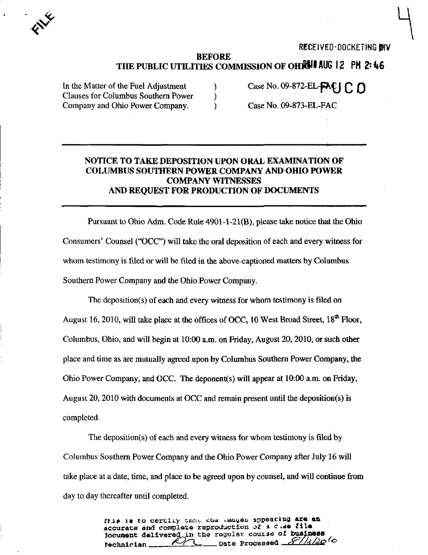

REGELVED-DOCKETING BYV

## BEFORE THE PUBLIC UTILITIES COMMISSION OF OHESII AUG 12 PM 2:46

In the Matter of the Fuel Adjustment  $\qquad$  (Case No. 09-872-EL- $P\&$ )  $\cap$   $\cap$ Clauses for Columbus Southern Power ) Company and Ohio Power Company. (Case No. 09-873-EL-FAC

## NOTICE TO TAKE DEPOSITION UPON ORAL EXAMINATION OF COLUMBUS SOUTHERN POWER COMPANY AND OHIO POWER COMPANY WITNESSES AND REQUEST FOR PRODUCTION OF DOCUMENTS

Pursuant to Ohio Adm. Code Rule 4901-1-21(B), please take notice that the Ohio Consumers' Counsel ("OCC") will take the oral deposition of each and every witness for whom testimony is filed or will be filed in the above-captioned matters by Columbus Southern Power Company and the Ohio Power Company.

The deposition(s) of each and every witness for whom testimony is filed on August 16, 2010, will take place at the offices of OCC, 10 West Broad Street,  $18<sup>th</sup>$  Floor, Columbus, Ohio, and will begin at 10:00 a.m. on Friday, August 20,2010, or such other place and time as are mutually agreed upon by Columbus Southern Power Company, the Ohio Power Company, and OCC. The deponent(s) will appear at 10:00 a.m. on Friday, August 20, 2010 with documents at OCC and remain present until the deposition(s) is completed.

The deposition(s) of each and every witness for whom testimony is filed by Columbus Southern Power Company and the Ohio Power Company after July 16 will take place at a date, time, and place to be agreed upon by counsel, and will continue from day to day thereafter until completed.

> rtia is to certify onthe cue emages appearing are an accurate and complete reproduction of a  $c$  .se file iocument delivered in the regular course of business rechnioian /^-^^r^X^ Date Processed rr/A/i ^ ^'^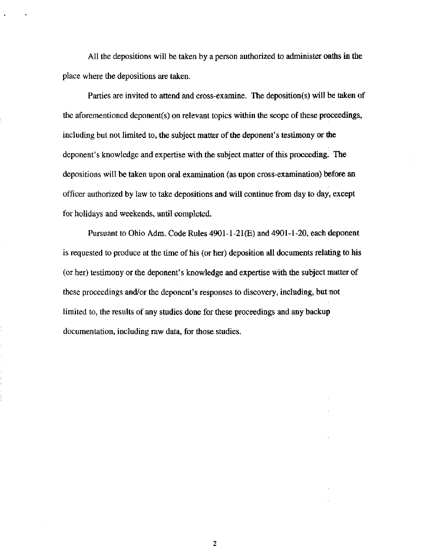All the depositions will be taken by a person authorized to administer oaths in the place where the depositions are taken.

Parties are invited to attend and cross-examine. The deposition(s) will be taken of the aforementioned deponent(s) on relevant topics within the scope of these proceedings, including but not limited to, the subject matter of the deponent's testimony or the deponent's knowledge and expertise with the subject matter of this proceeding. The depositions will be taken upon oral examination (as upon cross-examination) before an officer authorized by law to take depositions and will continue from day to day, except for holidays and weekends, until completed.

Pursuant to Ohio Adm. Code Rules  $4901-1-21(E)$  and  $4901-1-20$ , each deponent is requested to produce at the time of his (or her) deposition all documents relating to his (or her) testimony or the deponent's knowledge and expertise with the subject matter of these proceedings and/or the deponent's responses to discovery, including, but not limited to, the results of any studies done for these proceedings and any backup documentation, including raw data, for those studies.

 $\overline{2}$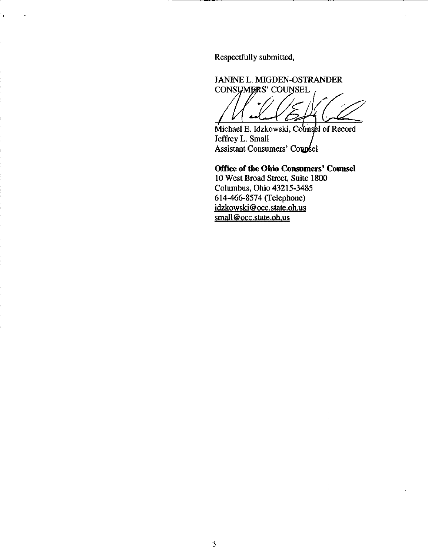Respectfully submitted,

JANINE L. MIGDEN-OSTRANDER CONSUMERS' COUNSEL 2

Michael E. Idzkowski, Counsel of Record Jeffrey L. Small Assistant Consumers' Coupsel

Office of the Ohio Consumers' Counsel 10 West Broad Street, Suite 1800 Columbus, Ohio 43215-3485 614-466-8574 (Telephone) [idzkowski@occ.state.oh.us](mailto:idzkowski@occ.state.oh.us)  small@occ.state.oh.us